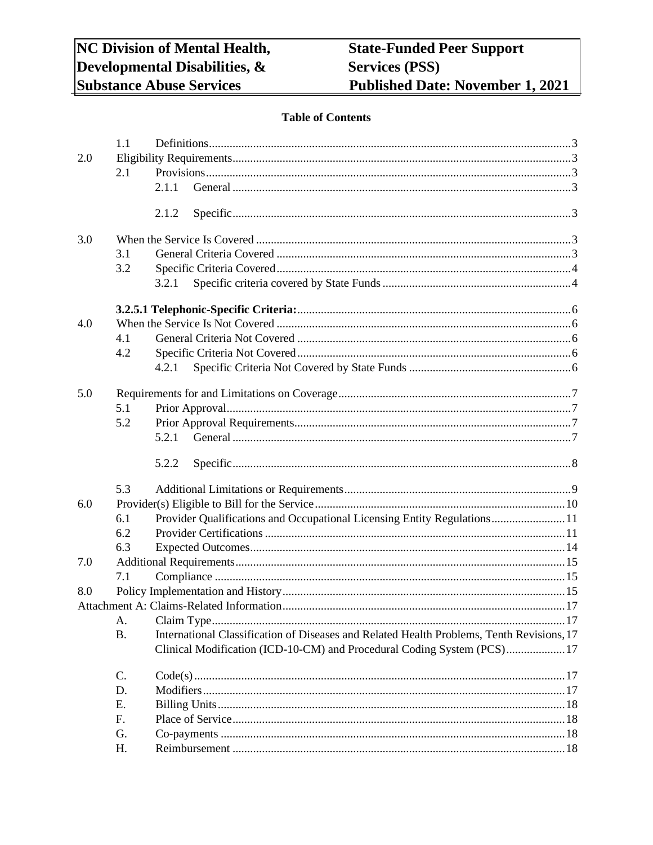# **Table of Contents**

| 2.1<br>2.1.1<br>2.1.2<br>3.0<br>3.1<br>3.2<br>3.2.1<br>4.0<br>4.1<br>4.2<br>4.2.1<br>5.0<br>5.1<br>5.2<br>5.2.1<br>5.2.2<br>5.3<br>6.0<br>Provider Qualifications and Occupational Licensing Entity Regulations11<br>6.1<br>6.2<br>6.3<br>7.0<br>7.1<br>8.0<br>A.<br>International Classification of Diseases and Related Health Problems, Tenth Revisions, 17<br><b>B.</b><br>Clinical Modification (ICD-10-CM) and Procedural Coding System (PCS) 17<br>C.<br>D.<br>Ε.<br>F.<br>G.<br>H. |     | 1.1 |  |
|--------------------------------------------------------------------------------------------------------------------------------------------------------------------------------------------------------------------------------------------------------------------------------------------------------------------------------------------------------------------------------------------------------------------------------------------------------------------------------------------|-----|-----|--|
|                                                                                                                                                                                                                                                                                                                                                                                                                                                                                            | 2.0 |     |  |
|                                                                                                                                                                                                                                                                                                                                                                                                                                                                                            |     |     |  |
|                                                                                                                                                                                                                                                                                                                                                                                                                                                                                            |     |     |  |
|                                                                                                                                                                                                                                                                                                                                                                                                                                                                                            |     |     |  |
|                                                                                                                                                                                                                                                                                                                                                                                                                                                                                            |     |     |  |
|                                                                                                                                                                                                                                                                                                                                                                                                                                                                                            |     |     |  |
|                                                                                                                                                                                                                                                                                                                                                                                                                                                                                            |     |     |  |
|                                                                                                                                                                                                                                                                                                                                                                                                                                                                                            |     |     |  |
|                                                                                                                                                                                                                                                                                                                                                                                                                                                                                            |     |     |  |
|                                                                                                                                                                                                                                                                                                                                                                                                                                                                                            |     |     |  |
|                                                                                                                                                                                                                                                                                                                                                                                                                                                                                            |     |     |  |
|                                                                                                                                                                                                                                                                                                                                                                                                                                                                                            |     |     |  |
|                                                                                                                                                                                                                                                                                                                                                                                                                                                                                            |     |     |  |
|                                                                                                                                                                                                                                                                                                                                                                                                                                                                                            |     |     |  |
|                                                                                                                                                                                                                                                                                                                                                                                                                                                                                            |     |     |  |
|                                                                                                                                                                                                                                                                                                                                                                                                                                                                                            |     |     |  |
|                                                                                                                                                                                                                                                                                                                                                                                                                                                                                            |     |     |  |
|                                                                                                                                                                                                                                                                                                                                                                                                                                                                                            |     |     |  |
|                                                                                                                                                                                                                                                                                                                                                                                                                                                                                            |     |     |  |
|                                                                                                                                                                                                                                                                                                                                                                                                                                                                                            |     |     |  |
|                                                                                                                                                                                                                                                                                                                                                                                                                                                                                            |     |     |  |
|                                                                                                                                                                                                                                                                                                                                                                                                                                                                                            |     |     |  |
|                                                                                                                                                                                                                                                                                                                                                                                                                                                                                            |     |     |  |
|                                                                                                                                                                                                                                                                                                                                                                                                                                                                                            |     |     |  |
|                                                                                                                                                                                                                                                                                                                                                                                                                                                                                            |     |     |  |
|                                                                                                                                                                                                                                                                                                                                                                                                                                                                                            |     |     |  |
|                                                                                                                                                                                                                                                                                                                                                                                                                                                                                            |     |     |  |
|                                                                                                                                                                                                                                                                                                                                                                                                                                                                                            |     |     |  |
|                                                                                                                                                                                                                                                                                                                                                                                                                                                                                            |     |     |  |
|                                                                                                                                                                                                                                                                                                                                                                                                                                                                                            |     |     |  |
|                                                                                                                                                                                                                                                                                                                                                                                                                                                                                            |     |     |  |
|                                                                                                                                                                                                                                                                                                                                                                                                                                                                                            |     |     |  |
|                                                                                                                                                                                                                                                                                                                                                                                                                                                                                            |     |     |  |
|                                                                                                                                                                                                                                                                                                                                                                                                                                                                                            |     |     |  |
|                                                                                                                                                                                                                                                                                                                                                                                                                                                                                            |     |     |  |
|                                                                                                                                                                                                                                                                                                                                                                                                                                                                                            |     |     |  |
|                                                                                                                                                                                                                                                                                                                                                                                                                                                                                            |     |     |  |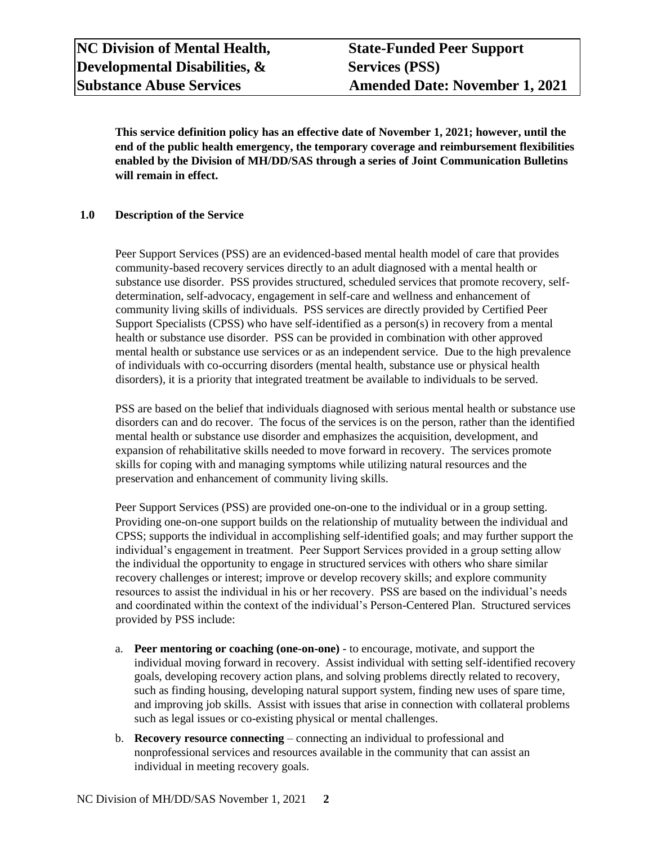**This service definition policy has an effective date of November 1, 2021; however, until the end of the public health emergency, the temporary coverage and reimbursement flexibilities enabled by the Division of MH/DD/SAS through a series of Joint Communication Bulletins will remain in effect.**

#### **1.0 Description of the Service**

Peer Support Services (PSS) are an evidenced-based mental health model of care that provides community-based recovery services directly to an adult diagnosed with a mental health or substance use disorder. PSS provides structured, scheduled services that promote recovery, selfdetermination, self-advocacy, engagement in self-care and wellness and enhancement of community living skills of individuals. PSS services are directly provided by Certified Peer Support Specialists (CPSS) who have self-identified as a person(s) in recovery from a mental health or substance use disorder. PSS can be provided in combination with other approved mental health or substance use services or as an independent service. Due to the high prevalence of individuals with co-occurring disorders (mental health, substance use or physical health disorders), it is a priority that integrated treatment be available to individuals to be served.

PSS are based on the belief that individuals diagnosed with serious mental health or substance use disorders can and do recover. The focus of the services is on the person, rather than the identified mental health or substance use disorder and emphasizes the acquisition, development, and expansion of rehabilitative skills needed to move forward in recovery. The services promote skills for coping with and managing symptoms while utilizing natural resources and the preservation and enhancement of community living skills.

Peer Support Services (PSS) are provided one-on-one to the individual or in a group setting. Providing one-on-one support builds on the relationship of mutuality between the individual and CPSS; supports the individual in accomplishing self-identified goals; and may further support the individual's engagement in treatment. Peer Support Services provided in a group setting allow the individual the opportunity to engage in structured services with others who share similar recovery challenges or interest; improve or develop recovery skills; and explore community resources to assist the individual in his or her recovery. PSS are based on the individual's needs and coordinated within the context of the individual's Person-Centered Plan. Structured services provided by PSS include:

- a. **Peer mentoring or coaching (one-on-one)** to encourage, motivate, and support the individual moving forward in recovery. Assist individual with setting self-identified recovery goals, developing recovery action plans, and solving problems directly related to recovery, such as finding housing, developing natural support system, finding new uses of spare time, and improving job skills. Assist with issues that arise in connection with collateral problems such as legal issues or co-existing physical or mental challenges.
- b. **Recovery resource connecting** connecting an individual to professional and nonprofessional services and resources available in the community that can assist an individual in meeting recovery goals.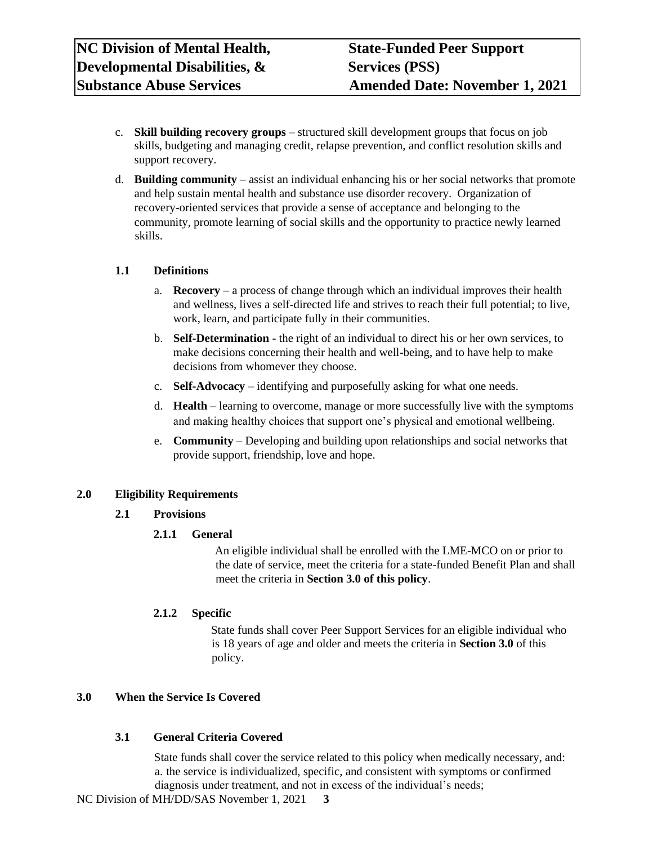- c. **Skill building recovery groups**  structured skill development groups that focus on job skills, budgeting and managing credit, relapse prevention, and conflict resolution skills and support recovery.
- d. **Building community**  assist an individual enhancing his or her social networks that promote and help sustain mental health and substance use disorder recovery. Organization of recovery-oriented services that provide a sense of acceptance and belonging to the community, promote learning of social skills and the opportunity to practice newly learned skills.

#### <span id="page-2-0"></span>**1.1 Definitions**

- a. **Recovery** a process of change through which an individual improves their health and wellness, lives a self-directed life and strives to reach their full potential; to live, work, learn, and participate fully in their communities.
- b. **Self-Determination** the right of an individual to direct his or her own services, to make decisions concerning their health and well-being, and to have help to make decisions from whomever they choose.
- c. **Self-Advocacy** identifying and purposefully asking for what one needs.
- d. **Health** learning to overcome, manage or more successfully live with the symptoms and making healthy choices that support one's physical and emotional wellbeing.
- e. **Community** Developing and building upon relationships and social networks that provide support, friendship, love and hope.

# <span id="page-2-1"></span>**2.0 Eligibility Requirements**

# <span id="page-2-2"></span>**2.1 Provisions**

# <span id="page-2-3"></span>**2.1.1 General**

An eligible individual shall be enrolled with the LME-MCO on or prior to the date of service, meet the criteria for a state-funded Benefit Plan and shall meet the criteria in **Section 3.0 of this policy**.

# <span id="page-2-4"></span>**2.1.2 Specific**

State funds shall cover Peer Support Services for an eligible individual who is 18 years of age and older and meets the criteria in **Section 3.0** of this policy.

#### <span id="page-2-5"></span>**3.0 When the Service Is Covered**

# <span id="page-2-6"></span>**3.1 General Criteria Covered**

State funds shall cover the service related to this policy when medically necessary, and: a. the service is individualized, specific, and consistent with symptoms or confirmed diagnosis under treatment, and not in excess of the individual's needs;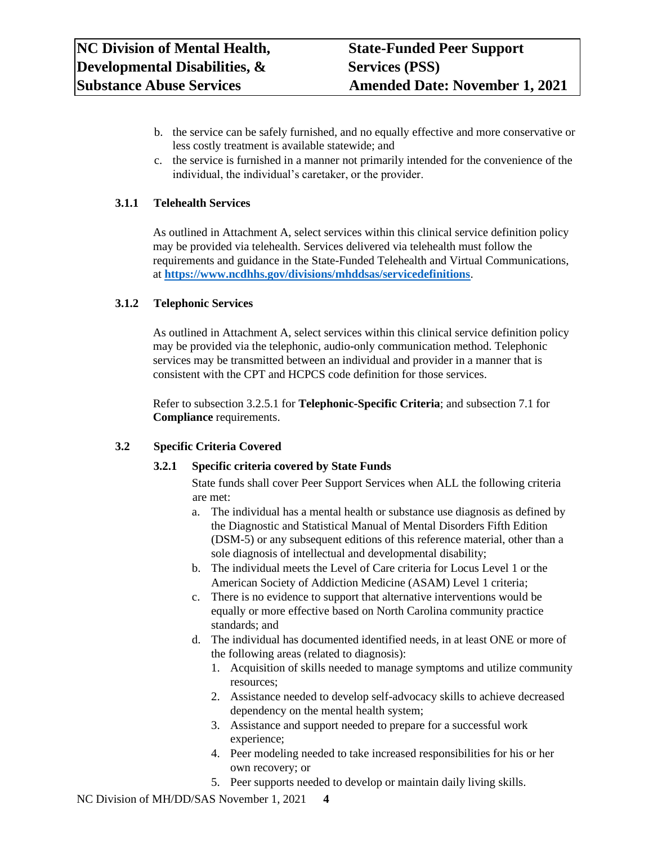- b. the service can be safely furnished, and no equally effective and more conservative or less costly treatment is available statewide; and
- c. the service is furnished in a manner not primarily intended for the convenience of the individual, the individual's caretaker, or the provider.

# **3.1.1 Telehealth Services**

As outlined in Attachment A, select services within this clinical service definition policy may be provided via telehealth. Services delivered via telehealth must follow the requirements and guidance in the State-Funded Telehealth and Virtual Communications, at **<https://www.ncdhhs.gov/divisions/mhddsas/servicedefinitions>**.

#### **3.1.2 Telephonic Services**

As outlined in Attachment A, select services within this clinical service definition policy may be provided via the telephonic, audio-only communication method. Telephonic services may be transmitted between an individual and provider in a manner that is consistent with the CPT and HCPCS code definition for those services.

Refer to subsection 3.2.5.1 for **Telephonic-Specific Criteria**; and subsection 7.1 for **Compliance** requirements.

#### <span id="page-3-0"></span>**3.2 Specific Criteria Covered**

#### <span id="page-3-1"></span>**3.2.1 Specific criteria covered by State Funds**

State funds shall cover Peer Support Services when ALL the following criteria are met:

- a. The individual has a mental health or substance use diagnosis as defined by the Diagnostic and Statistical Manual of Mental Disorders Fifth Edition (DSM-5) or any subsequent editions of this reference material, other than a sole diagnosis of intellectual and developmental disability;
- b. The individual meets the Level of Care criteria for Locus Level 1 or the American Society of Addiction Medicine (ASAM) Level 1 criteria;
- c. There is no evidence to support that alternative interventions would be equally or more effective based on North Carolina community practice standards; and
- d. The individual has documented identified needs, in at least ONE or more of the following areas (related to diagnosis):
	- 1. Acquisition of skills needed to manage symptoms and utilize community resources;
	- 2. Assistance needed to develop self-advocacy skills to achieve decreased dependency on the mental health system;
	- 3. Assistance and support needed to prepare for a successful work experience;
	- 4. Peer modeling needed to take increased responsibilities for his or her own recovery; or
	- 5. Peer supports needed to develop or maintain daily living skills.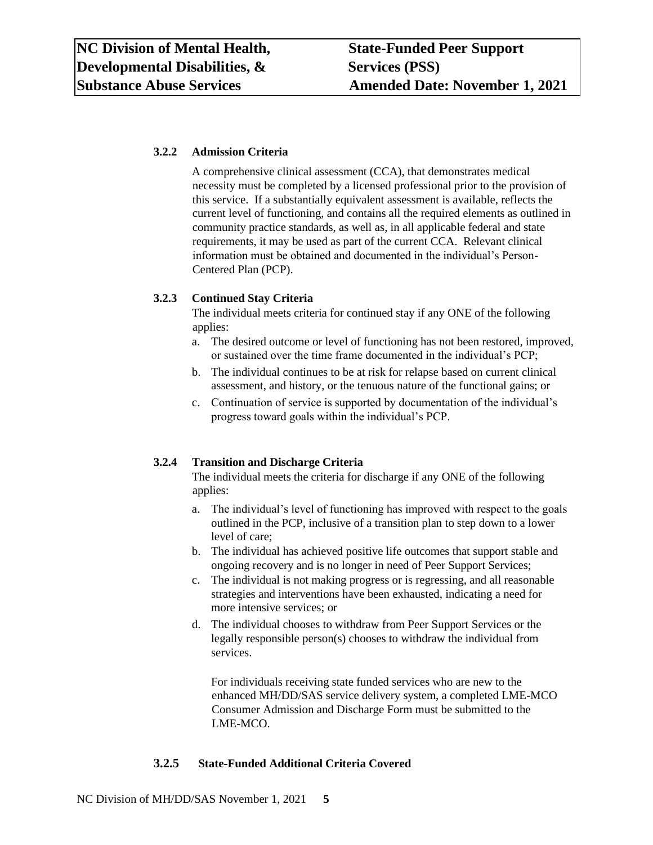# **3.2.2 Admission Criteria**

A comprehensive clinical assessment (CCA), that demonstrates medical necessity must be completed by a licensed professional prior to the provision of this service. If a substantially equivalent assessment is available, reflects the current level of functioning, and contains all the required elements as outlined in community practice standards, as well as, in all applicable federal and state requirements, it may be used as part of the current CCA. Relevant clinical information must be obtained and documented in the individual's Person-Centered Plan (PCP).

# **3.2.3 Continued Stay Criteria**

The individual meets criteria for continued stay if any ONE of the following applies:

- a. The desired outcome or level of functioning has not been restored, improved, or sustained over the time frame documented in the individual's PCP;
- b. The individual continues to be at risk for relapse based on current clinical assessment, and history, or the tenuous nature of the functional gains; or
- c. Continuation of service is supported by documentation of the individual's progress toward goals within the individual's PCP.

# **3.2.4 Transition and Discharge Criteria**

The individual meets the criteria for discharge if any ONE of the following applies:

- a. The individual's level of functioning has improved with respect to the goals outlined in the PCP, inclusive of a transition plan to step down to a lower level of care;
- b. The individual has achieved positive life outcomes that support stable and ongoing recovery and is no longer in need of Peer Support Services;
- c. The individual is not making progress or is regressing, and all reasonable strategies and interventions have been exhausted, indicating a need for more intensive services; or
- d. The individual chooses to withdraw from Peer Support Services or the legally responsible person(s) chooses to withdraw the individual from services.

For individuals receiving state funded services who are new to the enhanced MH/DD/SAS service delivery system, a completed LME-MCO Consumer Admission and Discharge Form must be submitted to the LME-MCO.

# **3.2.5 State-Funded Additional Criteria Covered**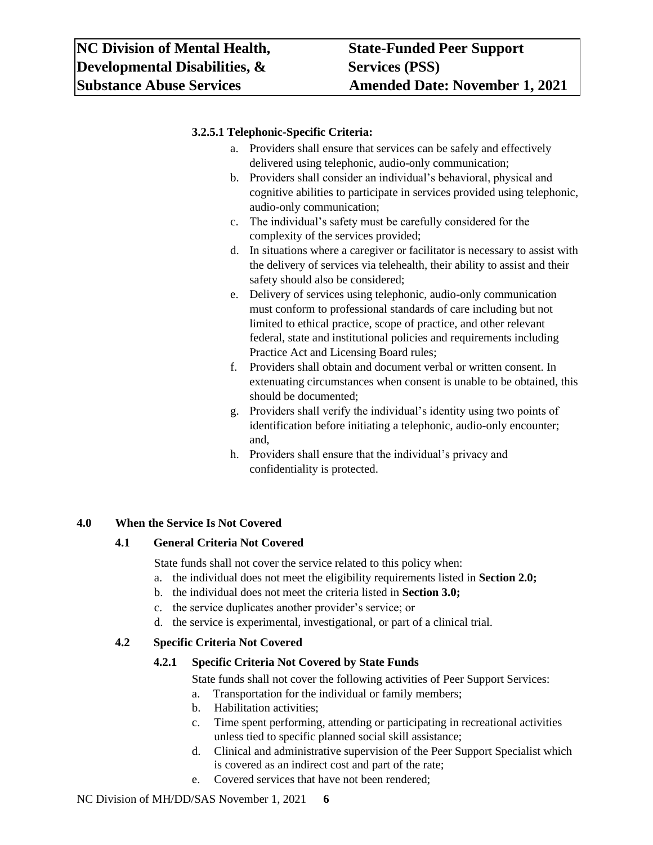# <span id="page-5-0"></span>**3.2.5.1 Telephonic-Specific Criteria:**

- a. Providers shall ensure that services can be safely and effectively delivered using telephonic, audio-only communication;
- b. Providers shall consider an individual's behavioral, physical and cognitive abilities to participate in services provided using telephonic, audio-only communication;
- c. The individual's safety must be carefully considered for the complexity of the services provided;
- d. In situations where a caregiver or facilitator is necessary to assist with the delivery of services via telehealth, their ability to assist and their safety should also be considered;
- e. Delivery of services using telephonic, audio-only communication must conform to professional standards of care including but not limited to ethical practice, scope of practice, and other relevant federal, state and institutional policies and requirements including Practice Act and Licensing Board rules;
- f. Providers shall obtain and document verbal or written consent. In extenuating circumstances when consent is unable to be obtained, this should be documented;
- g. Providers shall verify the individual's identity using two points of identification before initiating a telephonic, audio-only encounter; and,
- h. Providers shall ensure that the individual's privacy and confidentiality is protected.

# <span id="page-5-1"></span>**4.0 When the Service Is Not Covered**

# <span id="page-5-2"></span>**4.1 General Criteria Not Covered**

State funds shall not cover the service related to this policy when:

- a. the individual does not meet the eligibility requirements listed in **Section 2.0;**
- b. the individual does not meet the criteria listed in **Section 3.0;**
- c. the service duplicates another provider's service; or
- d. the service is experimental, investigational, or part of a clinical trial.

# <span id="page-5-3"></span>**4.2 Specific Criteria Not Covered**

# <span id="page-5-4"></span>**4.2.1 Specific Criteria Not Covered by State Funds**

State funds shall not cover the following activities of Peer Support Services:

- a. Transportation for the individual or family members;
- b. Habilitation activities;
- c. Time spent performing, attending or participating in recreational activities unless tied to specific planned social skill assistance;
- d. Clinical and administrative supervision of the Peer Support Specialist which is covered as an indirect cost and part of the rate;
- e. Covered services that have not been rendered;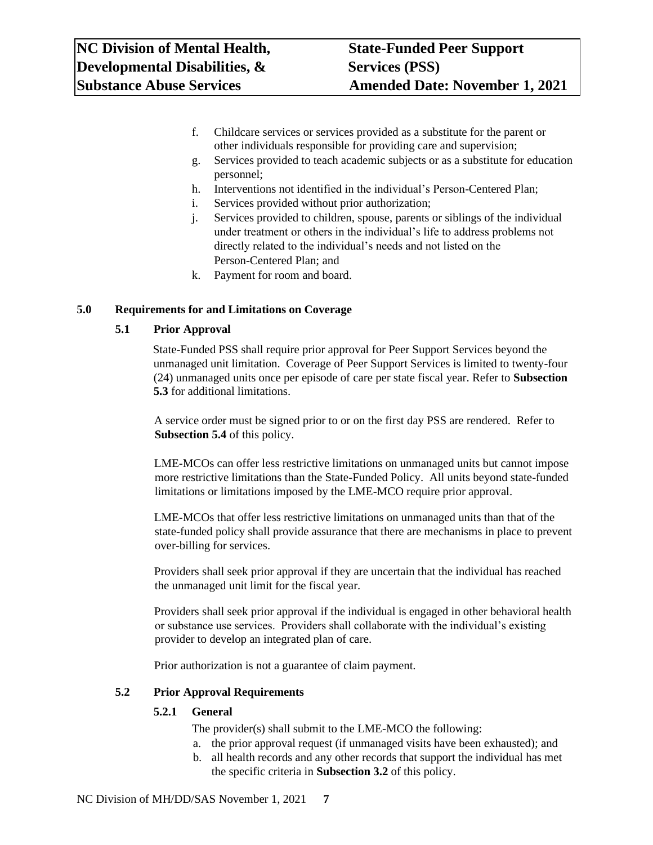- f. Childcare services or services provided as a substitute for the parent or other individuals responsible for providing care and supervision;
- g. Services provided to teach academic subjects or as a substitute for education personnel;
- h. Interventions not identified in the individual's Person-Centered Plan;
- i. Services provided without prior authorization;
- j. Services provided to children, spouse, parents or siblings of the individual under treatment or others in the individual's life to address problems not directly related to the individual's needs and not listed on the Person-Centered Plan; and
- k. Payment for room and board.

# <span id="page-6-0"></span>**5.0 Requirements for and Limitations on Coverage**

# <span id="page-6-1"></span>**5.1 Prior Approval**

State-Funded PSS shall require prior approval for Peer Support Services beyond the unmanaged unit limitation. Coverage of Peer Support Services is limited to twenty-four (24) unmanaged units once per episode of care per state fiscal year. Refer to **Subsection 5.3** for additional limitations.

A service order must be signed prior to or on the first day PSS are rendered. Refer to **Subsection 5.4** of this policy.

LME-MCOs can offer less restrictive limitations on unmanaged units but cannot impose more restrictive limitations than the State-Funded Policy. All units beyond state-funded limitations or limitations imposed by the LME-MCO require prior approval.

LME-MCOs that offer less restrictive limitations on unmanaged units than that of the state-funded policy shall provide assurance that there are mechanisms in place to prevent over-billing for services.

Providers shall seek prior approval if they are uncertain that the individual has reached the unmanaged unit limit for the fiscal year.

Providers shall seek prior approval if the individual is engaged in other behavioral health or substance use services. Providers shall collaborate with the individual's existing provider to develop an integrated plan of care.

Prior authorization is not a guarantee of claim payment.

# <span id="page-6-2"></span>**5.2 Prior Approval Requirements**

# <span id="page-6-3"></span>**5.2.1 General**

The provider(s) shall submit to the LME-MCO the following:

- a. the prior approval request (if unmanaged visits have been exhausted); and
- b. all health records and any other records that support the individual has met the specific criteria in **Subsection 3.2** of this policy.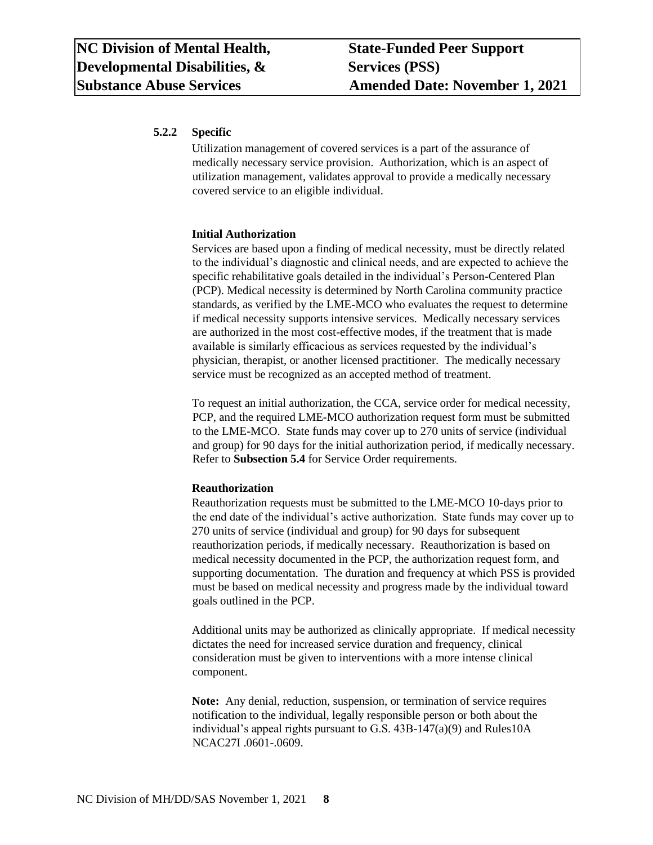# <span id="page-7-0"></span>**5.2.2 Specific**

Utilization management of covered services is a part of the assurance of medically necessary service provision. Authorization, which is an aspect of utilization management, validates approval to provide a medically necessary covered service to an eligible individual.

#### **Initial Authorization**

Services are based upon a finding of medical necessity, must be directly related to the individual's diagnostic and clinical needs, and are expected to achieve the specific rehabilitative goals detailed in the individual's Person-Centered Plan (PCP). Medical necessity is determined by North Carolina community practice standards, as verified by the LME-MCO who evaluates the request to determine if medical necessity supports intensive services. Medically necessary services are authorized in the most cost-effective modes, if the treatment that is made available is similarly efficacious as services requested by the individual's physician, therapist, or another licensed practitioner. The medically necessary service must be recognized as an accepted method of treatment.

To request an initial authorization, the CCA, service order for medical necessity, PCP, and the required LME-MCO authorization request form must be submitted to the LME-MCO. State funds may cover up to 270 units of service (individual and group) for 90 days for the initial authorization period, if medically necessary. Refer to **Subsection 5.4** for Service Order requirements.

#### **Reauthorization**

Reauthorization requests must be submitted to the LME-MCO 10-days prior to the end date of the individual's active authorization. State funds may cover up to 270 units of service (individual and group) for 90 days for subsequent reauthorization periods, if medically necessary. Reauthorization is based on medical necessity documented in the PCP, the authorization request form, and supporting documentation. The duration and frequency at which PSS is provided must be based on medical necessity and progress made by the individual toward goals outlined in the PCP.

Additional units may be authorized as clinically appropriate. If medical necessity dictates the need for increased service duration and frequency, clinical consideration must be given to interventions with a more intense clinical component.

**Note:** Any denial, reduction, suspension, or termination of service requires notification to the individual, legally responsible person or both about the individual's appeal rights pursuant to G.S. 43B-147(a)(9) and Rules10A NCAC27I .0601-.0609.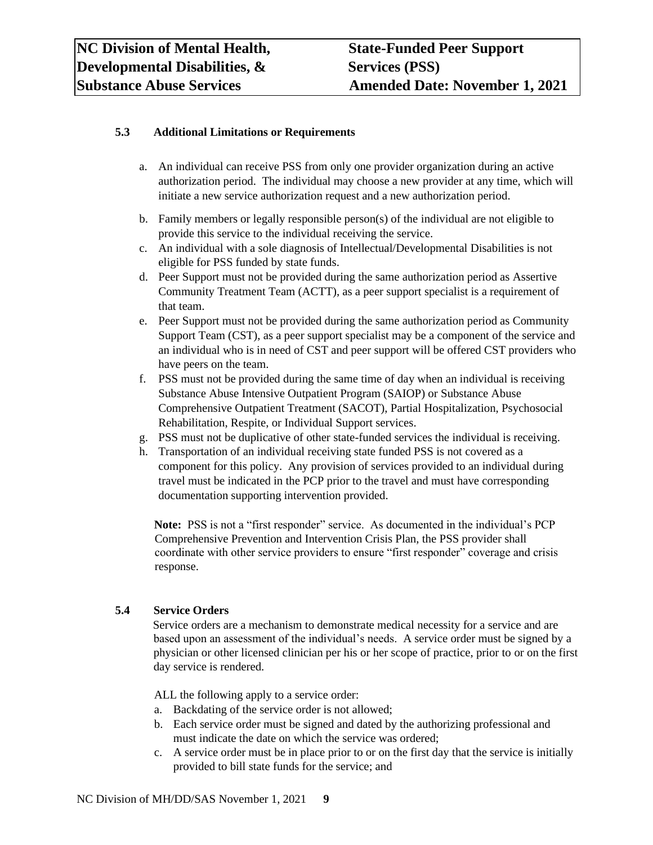# <span id="page-8-0"></span>**5.3 Additional Limitations or Requirements**

- a. An individual can receive PSS from only one provider organization during an active authorization period. The individual may choose a new provider at any time, which will initiate a new service authorization request and a new authorization period.
- b. Family members or legally responsible person(s) of the individual are not eligible to provide this service to the individual receiving the service.
- c. An individual with a sole diagnosis of Intellectual/Developmental Disabilities is not eligible for PSS funded by state funds.
- d. Peer Support must not be provided during the same authorization period as Assertive Community Treatment Team (ACTT), as a peer support specialist is a requirement of that team.
- e. Peer Support must not be provided during the same authorization period as Community Support Team (CST), as a peer support specialist may be a component of the service and an individual who is in need of CST and peer support will be offered CST providers who have peers on the team.
- f. PSS must not be provided during the same time of day when an individual is receiving Substance Abuse Intensive Outpatient Program (SAIOP) or Substance Abuse Comprehensive Outpatient Treatment (SACOT), Partial Hospitalization, Psychosocial Rehabilitation, Respite, or Individual Support services.
- g. PSS must not be duplicative of other state-funded services the individual is receiving.
- h. Transportation of an individual receiving state funded PSS is not covered as a component for this policy. Any provision of services provided to an individual during travel must be indicated in the PCP prior to the travel and must have corresponding documentation supporting intervention provided.

**Note:** PSS is not a "first responder" service. As documented in the individual's PCP Comprehensive Prevention and Intervention Crisis Plan, the PSS provider shall coordinate with other service providers to ensure "first responder" coverage and crisis response.

# **5.4 Service Orders**

Service orders are a mechanism to demonstrate medical necessity for a service and are based upon an assessment of the individual's needs. A service order must be signed by a physician or other licensed clinician per his or her scope of practice, prior to or on the first day service is rendered.

ALL the following apply to a service order:

- a. Backdating of the service order is not allowed;
- b. Each service order must be signed and dated by the authorizing professional and must indicate the date on which the service was ordered;
- c. A service order must be in place prior to or on the first day that the service is initially provided to bill state funds for the service; and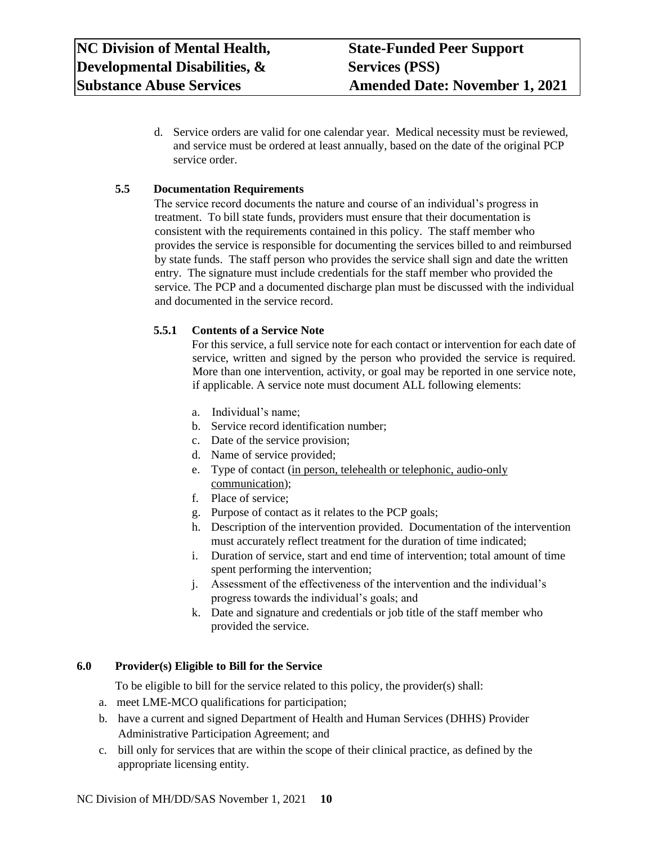d. Service orders are valid for one calendar year. Medical necessity must be reviewed, and service must be ordered at least annually, based on the date of the original PCP service order.

# **5.5 Documentation Requirements**

The service record documents the nature and course of an individual's progress in treatment. To bill state funds, providers must ensure that their documentation is consistent with the requirements contained in this policy. The staff member who provides the service is responsible for documenting the services billed to and reimbursed by state funds. The staff person who provides the service shall sign and date the written entry. The signature must include credentials for the staff member who provided the service. The PCP and a documented discharge plan must be discussed with the individual and documented in the service record.

# **5.5.1 Contents of a Service Note**

For this service, a full service note for each contact or intervention for each date of service, written and signed by the person who provided the service is required. More than one intervention, activity, or goal may be reported in one service note, if applicable. A service note must document ALL following elements:

- a. Individual's name;
- b. Service record identification number;
- c. Date of the service provision;
- d. Name of service provided;
- e. Type of contact (in person, telehealth or telephonic, audio-only communication);
- f. Place of service;
- g. Purpose of contact as it relates to the PCP goals;
- h. Description of the intervention provided. Documentation of the intervention must accurately reflect treatment for the duration of time indicated;
- i. Duration of service, start and end time of intervention; total amount of time spent performing the intervention;
- j. Assessment of the effectiveness of the intervention and the individual's progress towards the individual's goals; and
- k. Date and signature and credentials or job title of the staff member who provided the service.

# <span id="page-9-0"></span>**6.0 Provider(s) Eligible to Bill for the Service**

To be eligible to bill for the service related to this policy, the provider(s) shall:

- a. meet LME-MCO qualifications for participation;
- b. have a current and signed Department of Health and Human Services (DHHS) Provider Administrative Participation Agreement; and
- c. bill only for services that are within the scope of their clinical practice, as defined by the appropriate licensing entity.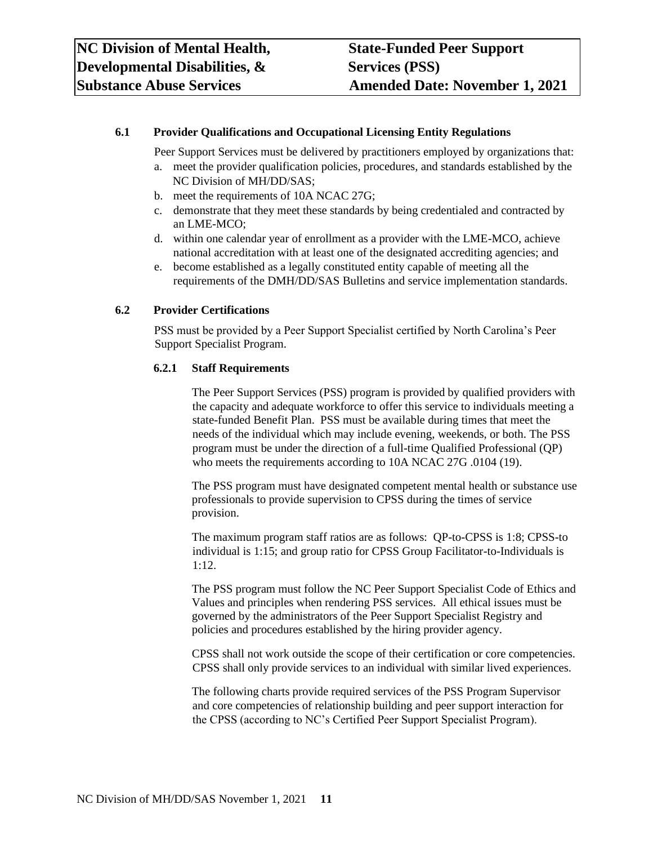## <span id="page-10-0"></span>**6.1 Provider Qualifications and Occupational Licensing Entity Regulations**

Peer Support Services must be delivered by practitioners employed by organizations that:

- a. meet the provider qualification policies, procedures, and standards established by the NC Division of MH/DD/SAS;
- b. meet the requirements of 10A NCAC 27G;
- c. demonstrate that they meet these standards by being credentialed and contracted by an LME-MCO;
- d. within one calendar year of enrollment as a provider with the LME-MCO, achieve national accreditation with at least one of the designated accrediting agencies; and
- e. become established as a legally constituted entity capable of meeting all the requirements of the DMH/DD/SAS Bulletins and service implementation standards.

#### <span id="page-10-1"></span>**6.2 Provider Certifications**

PSS must be provided by a Peer Support Specialist certified by North Carolina's Peer Support Specialist Program.

#### **6.2.1 Staff Requirements**

The Peer Support Services (PSS) program is provided by qualified providers with the capacity and adequate workforce to offer this service to individuals meeting a state-funded Benefit Plan. PSS must be available during times that meet the needs of the individual which may include evening, weekends, or both. The PSS program must be under the direction of a full-time Qualified Professional (QP) who meets the requirements according to 10A NCAC 27G .0104 (19).

The PSS program must have designated competent mental health or substance use professionals to provide supervision to CPSS during the times of service provision.

The maximum program staff ratios are as follows: QP-to-CPSS is 1:8; CPSS-to individual is 1:15; and group ratio for CPSS Group Facilitator-to-Individuals is 1:12.

The PSS program must follow the NC Peer Support Specialist Code of Ethics and Values and principles when rendering PSS services. All ethical issues must be governed by the administrators of the Peer Support Specialist Registry and policies and procedures established by the hiring provider agency.

CPSS shall not work outside the scope of their certification or core competencies. CPSS shall only provide services to an individual with similar lived experiences.

The following charts provide required services of the PSS Program Supervisor and core competencies of relationship building and peer support interaction for the CPSS (according to NC's Certified Peer Support Specialist Program).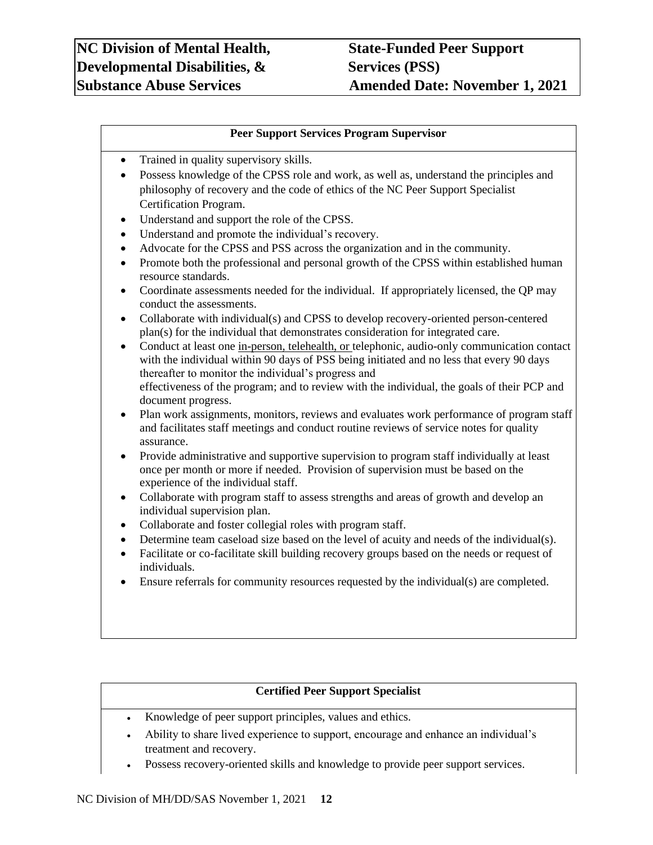# **Peer Support Services Program Supervisor**

- Trained in quality supervisory skills.
- Possess knowledge of the CPSS role and work, as well as, understand the principles and philosophy of recovery and the code of ethics of the NC Peer Support Specialist Certification Program.
- Understand and support the role of the CPSS.
- Understand and promote the individual's recovery.
- Advocate for the CPSS and PSS across the organization and in the community.
- Promote both the professional and personal growth of the CPSS within established human resource standards.
- Coordinate assessments needed for the individual. If appropriately licensed, the QP may conduct the assessments.
- Collaborate with individual(s) and CPSS to develop recovery-oriented person-centered plan(s) for the individual that demonstrates consideration for integrated care.
- Conduct at least one in-person, telehealth, or telephonic, audio-only communication contact with the individual within 90 days of PSS being initiated and no less that every 90 days thereafter to monitor the individual's progress and effectiveness of the program; and to review with the individual, the goals of their PCP and document progress.
- Plan work assignments, monitors, reviews and evaluates work performance of program staff and facilitates staff meetings and conduct routine reviews of service notes for quality assurance.
- Provide administrative and supportive supervision to program staff individually at least once per month or more if needed. Provision of supervision must be based on the experience of the individual staff.
- Collaborate with program staff to assess strengths and areas of growth and develop an individual supervision plan.
- Collaborate and foster collegial roles with program staff.
- Determine team caseload size based on the level of acuity and needs of the individual(s).
- Facilitate or co-facilitate skill building recovery groups based on the needs or request of individuals.
- Ensure referrals for community resources requested by the individual(s) are completed.

# **Certified Peer Support Specialist**

- Knowledge of peer support principles, values and ethics.
- Ability to share lived experience to support, encourage and enhance an individual's treatment and recovery.
- Possess recovery-oriented skills and knowledge to provide peer support services.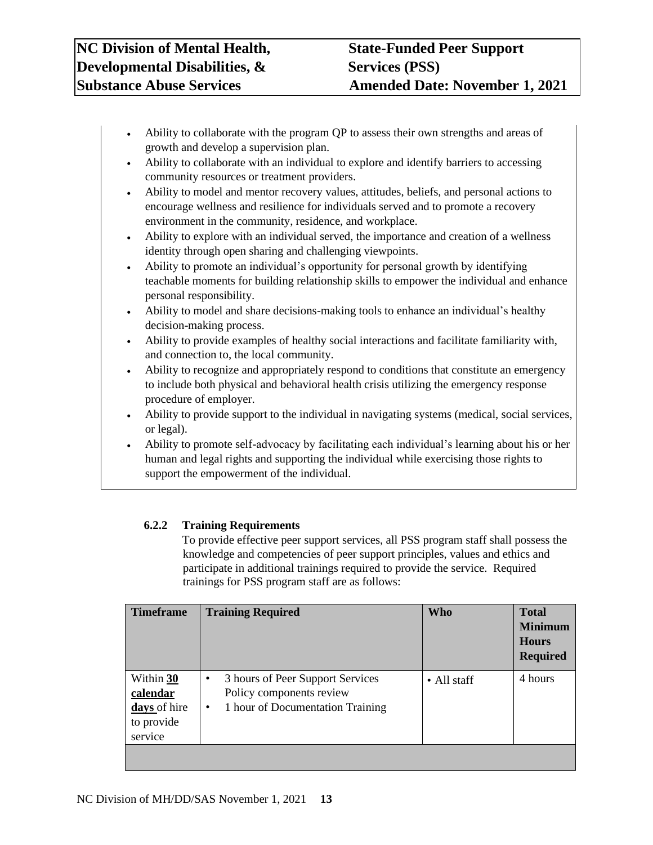- Ability to collaborate with the program QP to assess their own strengths and areas of growth and develop a supervision plan.
- Ability to collaborate with an individual to explore and identify barriers to accessing community resources or treatment providers.
- Ability to model and mentor recovery values, attitudes, beliefs, and personal actions to encourage wellness and resilience for individuals served and to promote a recovery environment in the community, residence, and workplace.
- Ability to explore with an individual served, the importance and creation of a wellness identity through open sharing and challenging viewpoints.
- Ability to promote an individual's opportunity for personal growth by identifying teachable moments for building relationship skills to empower the individual and enhance personal responsibility.
- Ability to model and share decisions-making tools to enhance an individual's healthy decision-making process.
- Ability to provide examples of healthy social interactions and facilitate familiarity with, and connection to, the local community.
- Ability to recognize and appropriately respond to conditions that constitute an emergency to include both physical and behavioral health crisis utilizing the emergency response procedure of employer.
- Ability to provide support to the individual in navigating systems (medical, social services, or legal).
- Ability to promote self-advocacy by facilitating each individual's learning about his or her human and legal rights and supporting the individual while exercising those rights to support the empowerment of the individual.

# **6.2.2 Training Requirements**

To provide effective peer support services, all PSS program staff shall possess the knowledge and competencies of peer support principles, values and ethics and participate in additional trainings required to provide the service. Required trainings for PSS program staff are as follows:

| <b>Timeframe</b>                                               | <b>Training Required</b>                                                                                           | <b>Who</b>  | <b>Total</b><br><b>Minimum</b><br><b>Hours</b><br><b>Required</b> |
|----------------------------------------------------------------|--------------------------------------------------------------------------------------------------------------------|-------------|-------------------------------------------------------------------|
| Within 30<br>calendar<br>days of hire<br>to provide<br>service | 3 hours of Peer Support Services<br>٠<br>Policy components review<br>1 hour of Documentation Training<br>$\bullet$ | • All staff | 4 hours                                                           |
|                                                                |                                                                                                                    |             |                                                                   |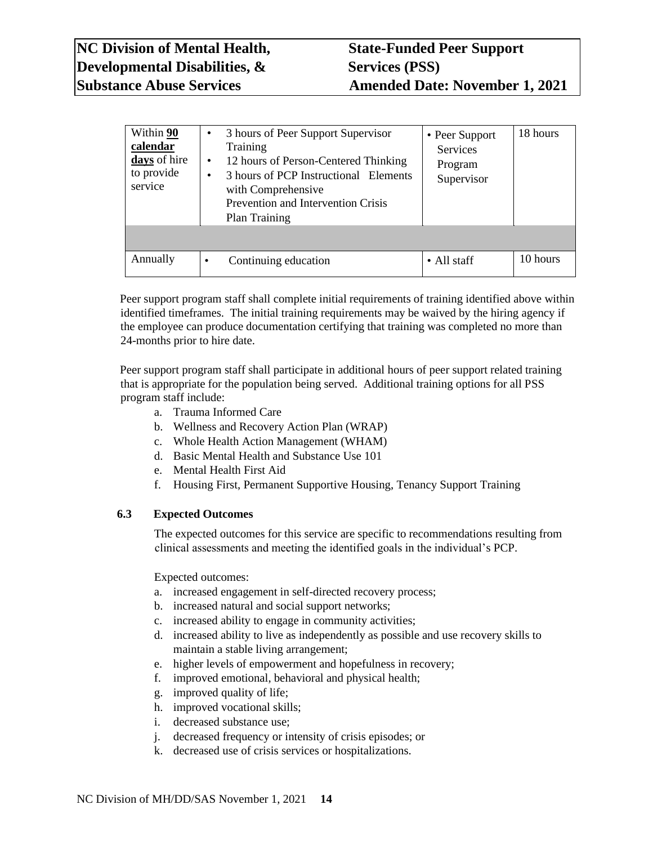| Within 90<br>calendar<br>days of hire<br>to provide<br>service | 3 hours of Peer Support Supervisor<br>$\bullet$<br>Training<br>12 hours of Person-Centered Thinking<br>٠<br>3 hours of PCP Instructional Elements<br>٠<br>with Comprehensive<br>Prevention and Intervention Crisis<br>Plan Training | • Peer Support<br><b>Services</b><br>Program<br>Supervisor | 18 hours |
|----------------------------------------------------------------|-------------------------------------------------------------------------------------------------------------------------------------------------------------------------------------------------------------------------------------|------------------------------------------------------------|----------|
|                                                                |                                                                                                                                                                                                                                     |                                                            |          |
| Annually                                                       | Continuing education<br>٠                                                                                                                                                                                                           | • All staff                                                | 10 hours |

Peer support program staff shall complete initial requirements of training identified above within identified timeframes. The initial training requirements may be waived by the hiring agency if the employee can produce documentation certifying that training was completed no more than 24-months prior to hire date.

Peer support program staff shall participate in additional hours of peer support related training that is appropriate for the population being served. Additional training options for all PSS program staff include:

- a. Trauma Informed Care
- b. Wellness and Recovery Action Plan (WRAP)
- c. Whole Health Action Management (WHAM)
- d. Basic Mental Health and Substance Use 101
- e. Mental Health First Aid
- f. Housing First, Permanent Supportive Housing, Tenancy Support Training

### <span id="page-13-0"></span>**6.3 Expected Outcomes**

The expected outcomes for this service are specific to recommendations resulting from clinical assessments and meeting the identified goals in the individual's PCP.

Expected outcomes:

- a. increased engagement in self-directed recovery process;
- b. increased natural and social support networks;
- c. increased ability to engage in community activities;
- d. increased ability to live as independently as possible and use recovery skills to maintain a stable living arrangement;
- e. higher levels of empowerment and hopefulness in recovery;
- f. improved emotional, behavioral and physical health;
- g. improved quality of life;
- h. improved vocational skills;
- i. decreased substance use;
- j. decreased frequency or intensity of crisis episodes; or
- k. decreased use of crisis services or hospitalizations.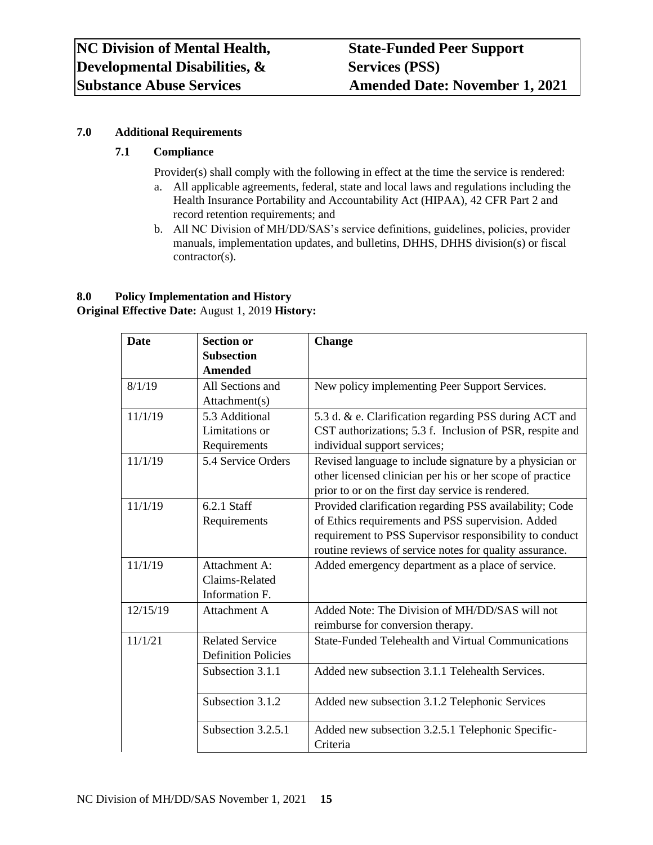# <span id="page-14-0"></span>**7.0 Additional Requirements**

# <span id="page-14-1"></span>**7.1 Compliance**

Provider(s) shall comply with the following in effect at the time the service is rendered:

- a. All applicable agreements, federal, state and local laws and regulations including the Health Insurance Portability and Accountability Act (HIPAA), 42 CFR Part 2 and record retention requirements; and
- b. All NC Division of MH/DD/SAS's service definitions, guidelines, policies, provider manuals, implementation updates, and bulletins, DHHS, DHHS division(s) or fiscal contractor(s).

# <span id="page-14-2"></span>**8.0 Policy Implementation and History**

**Original Effective Date:** August 1, 2019 **History:** 

| <b>Date</b> | <b>Section or</b><br><b>Subsection</b> | <b>Change</b>                                             |
|-------------|----------------------------------------|-----------------------------------------------------------|
|             | <b>Amended</b>                         |                                                           |
| 8/1/19      | All Sections and                       | New policy implementing Peer Support Services.            |
|             | Attachment(s)                          |                                                           |
| 11/1/19     | 5.3 Additional                         | 5.3 d. & e. Clarification regarding PSS during ACT and    |
|             | Limitations or                         | CST authorizations; 5.3 f. Inclusion of PSR, respite and  |
|             | Requirements                           | individual support services;                              |
| 11/1/19     | 5.4 Service Orders                     | Revised language to include signature by a physician or   |
|             |                                        | other licensed clinician per his or her scope of practice |
|             |                                        | prior to or on the first day service is rendered.         |
| 11/1/19     | 6.2.1 Staff                            | Provided clarification regarding PSS availability; Code   |
|             | Requirements                           | of Ethics requirements and PSS supervision. Added         |
|             |                                        | requirement to PSS Supervisor responsibility to conduct   |
|             |                                        | routine reviews of service notes for quality assurance.   |
| 11/1/19     | Attachment A:                          | Added emergency department as a place of service.         |
|             | Claims-Related                         |                                                           |
|             | Information F.                         |                                                           |
| 12/15/19    | <b>Attachment A</b>                    | Added Note: The Division of MH/DD/SAS will not            |
|             |                                        | reimburse for conversion therapy.                         |
| 11/1/21     | <b>Related Service</b>                 | <b>State-Funded Telehealth and Virtual Communications</b> |
|             | <b>Definition Policies</b>             |                                                           |
|             | Subsection 3.1.1                       | Added new subsection 3.1.1 Telehealth Services.           |
|             |                                        |                                                           |
|             | Subsection 3.1.2                       | Added new subsection 3.1.2 Telephonic Services            |
|             |                                        |                                                           |
|             | Subsection 3.2.5.1                     | Added new subsection 3.2.5.1 Telephonic Specific-         |
|             |                                        | Criteria                                                  |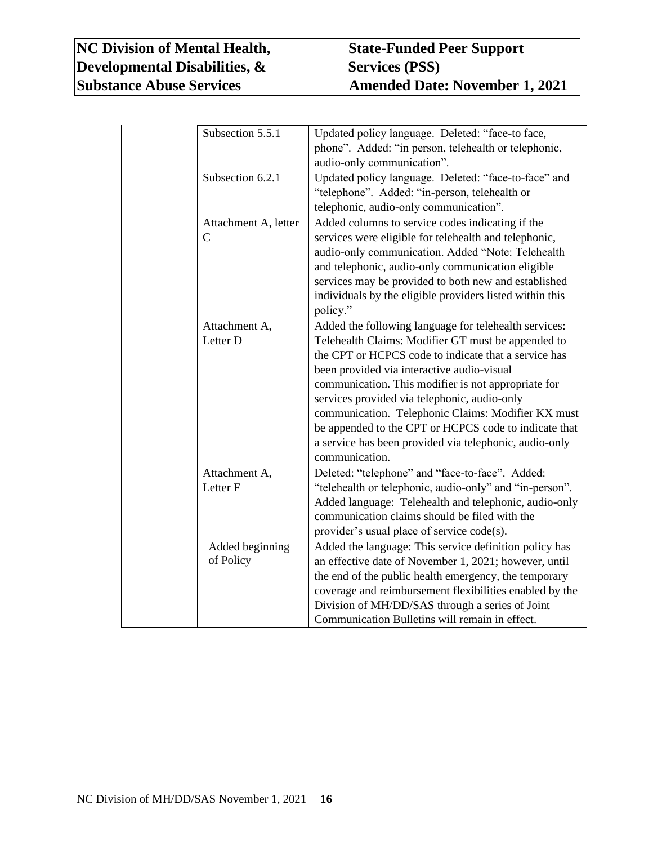# **NC Division of Mental Health, State-Funded Peer Support Developmental Disabilities, & Services (PSS)**<br>
Substance Abuse Services Amended Date

| Subsection 5.5.1                     | Updated policy language. Deleted: "face-to face,<br>phone". Added: "in person, telehealth or telephonic,<br>audio-only communication".                                                                                                                                                                                                                                                                                                                                                                              |
|--------------------------------------|---------------------------------------------------------------------------------------------------------------------------------------------------------------------------------------------------------------------------------------------------------------------------------------------------------------------------------------------------------------------------------------------------------------------------------------------------------------------------------------------------------------------|
| Subsection 6.2.1                     | Updated policy language. Deleted: "face-to-face" and<br>"telephone". Added: "in-person, telehealth or<br>telephonic, audio-only communication".                                                                                                                                                                                                                                                                                                                                                                     |
| Attachment A, letter<br>$\mathsf{C}$ | Added columns to service codes indicating if the<br>services were eligible for telehealth and telephonic,<br>audio-only communication. Added "Note: Telehealth<br>and telephonic, audio-only communication eligible<br>services may be provided to both new and established<br>individuals by the eligible providers listed within this<br>policy."                                                                                                                                                                 |
| Attachment A,<br>Letter D            | Added the following language for telehealth services:<br>Telehealth Claims: Modifier GT must be appended to<br>the CPT or HCPCS code to indicate that a service has<br>been provided via interactive audio-visual<br>communication. This modifier is not appropriate for<br>services provided via telephonic, audio-only<br>communication. Telephonic Claims: Modifier KX must<br>be appended to the CPT or HCPCS code to indicate that<br>a service has been provided via telephonic, audio-only<br>communication. |
| Attachment A,<br>Letter <sub>F</sub> | Deleted: "telephone" and "face-to-face". Added:<br>"telehealth or telephonic, audio-only" and "in-person".<br>Added language: Telehealth and telephonic, audio-only<br>communication claims should be filed with the<br>provider's usual place of service code(s).                                                                                                                                                                                                                                                  |
| Added beginning<br>of Policy         | Added the language: This service definition policy has<br>an effective date of November 1, 2021; however, until<br>the end of the public health emergency, the temporary<br>coverage and reimbursement flexibilities enabled by the<br>Division of MH/DD/SAS through a series of Joint<br>Communication Bulletins will remain in effect.                                                                                                                                                                            |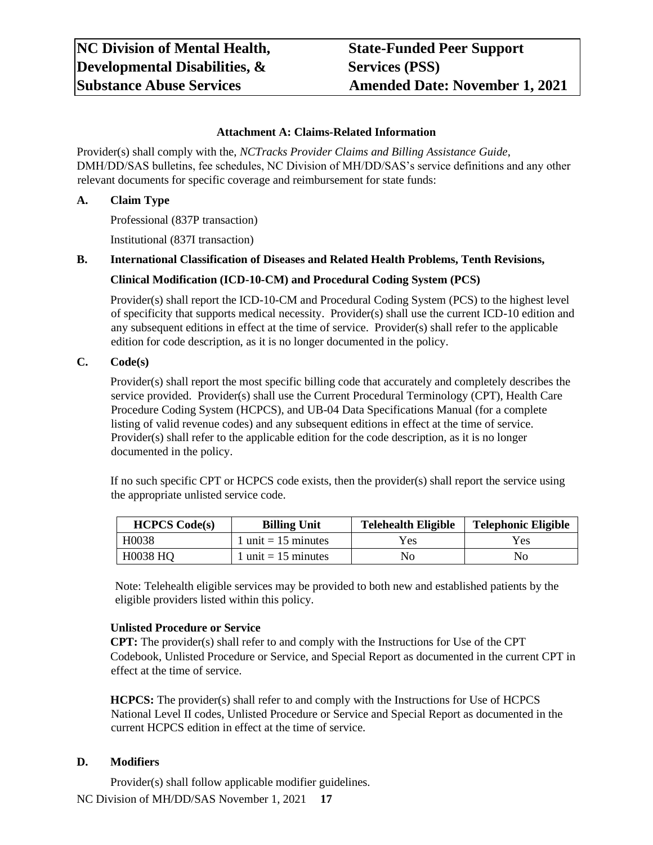#### **Attachment A: Claims-Related Information**

<span id="page-16-0"></span>Provider(s) shall comply with the, *NCTracks Provider Claims and Billing Assistance Guide*, DMH/DD/SAS bulletins, fee schedules, NC Division of MH/DD/SAS's service definitions and any other relevant documents for specific coverage and reimbursement for state funds:

#### <span id="page-16-1"></span>**A. Claim Type**

Professional (837P transaction)

Institutional (837I transaction)

#### <span id="page-16-3"></span><span id="page-16-2"></span>**B. International Classification of Diseases and Related Health Problems, Tenth Revisions,**

#### **Clinical Modification (ICD-10-CM) and Procedural Coding System (PCS)**

Provider(s) shall report the ICD-10-CM and Procedural Coding System (PCS) to the highest level of specificity that supports medical necessity. Provider(s) shall use the current ICD-10 edition and any subsequent editions in effect at the time of service. Provider(s) shall refer to the applicable edition for code description, as it is no longer documented in the policy.

#### <span id="page-16-4"></span>**C. Code(s)**

Provider(s) shall report the most specific billing code that accurately and completely describes the service provided. Provider(s) shall use the Current Procedural Terminology (CPT), Health Care Procedure Coding System (HCPCS), and UB-04 Data Specifications Manual (for a complete listing of valid revenue codes) and any subsequent editions in effect at the time of service. Provider(s) shall refer to the applicable edition for the code description, as it is no longer documented in the policy.

If no such specific CPT or HCPCS code exists, then the provider(s) shall report the service using the appropriate unlisted service code.

| <b>HCPCS Code(s)</b> | <b>Billing Unit</b>   | <b>Telehealth Eligible</b> | <b>Telephonic Eligible</b> |
|----------------------|-----------------------|----------------------------|----------------------------|
| H <sub>0</sub> 038   | 1 unit $= 15$ minutes | Yes                        | Yes                        |
| <b>H0038 HQ</b>      | $1$ unit = 15 minutes | No.                        | No                         |

Note: Telehealth eligible services may be provided to both new and established patients by the eligible providers listed within this policy.

#### **Unlisted Procedure or Service**

**CPT:** The provider(s) shall refer to and comply with the Instructions for Use of the CPT Codebook, Unlisted Procedure or Service, and Special Report as documented in the current CPT in effect at the time of service.

**HCPCS:** The provider(s) shall refer to and comply with the Instructions for Use of HCPCS National Level II codes, Unlisted Procedure or Service and Special Report as documented in the current HCPCS edition in effect at the time of service.

#### <span id="page-16-5"></span>**D. Modifiers**

NC Division of MH/DD/SAS November 1, 2021 **17** Provider(s) shall follow applicable modifier guidelines.